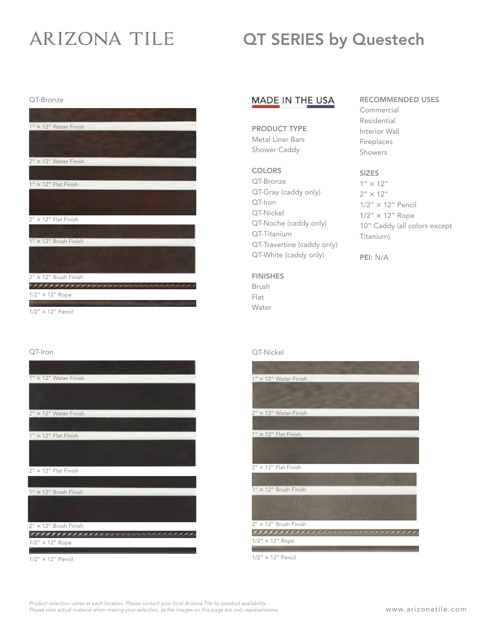# **ARIZONA TILE**

## QT SERIES by Questech

RECOMMENDED USES

Commercial Residential Interior Wall Fireplaces Showers

SIZES  $1'' \times 12''$  $2'' \times 12''$ 

Titanium)

PEI: N/A

1/2" × 12" Pencil 1/2" × 12" Rope

10" Caddy (all colors except

QT-Bronze

| $1'' \times 12''$ Water Finish |
|--------------------------------|
|                                |
| 2" × 12" Water Finish          |
|                                |
| $1'' \times 12''$ Flat Finish  |
|                                |
| $2'' \times 12''$ Flat Finish  |
|                                |
| 1" × 12" Brush Finish          |
|                                |
| 2" × 12" Brush Finish          |
| $1/2$ " $\times$ 12" Rope      |
|                                |

#### 1/2" × 12" Pencil

# QT-Iron 1" × 12" Water Finish 2" × 12" Water Finish  $1'' \times 12''$  Flat Finish  $2'' \times 12''$  Flat Finish  $1'' \times 12''$  Brush Finish  $2'' \times 12''$  Brush Finish ,,,,,,,,,,,,,,,,,, <u>innerere</u>

1/2" × 12" Rope

1/2" × 12" Pencil

### MADE IN THE USA

PRODUCT TYPE Metal Liner Bars Shower Caddy

### **COLORS**

QT-Bronze QT-Gray (caddy only) QT-Iron QT-Nickel QT-Noche (caddy only) QT-Titanium QT-Travertine (caddy only) QT-White (caddy only)

### FINISHES

Brush Flat Water

### QT-Nickel